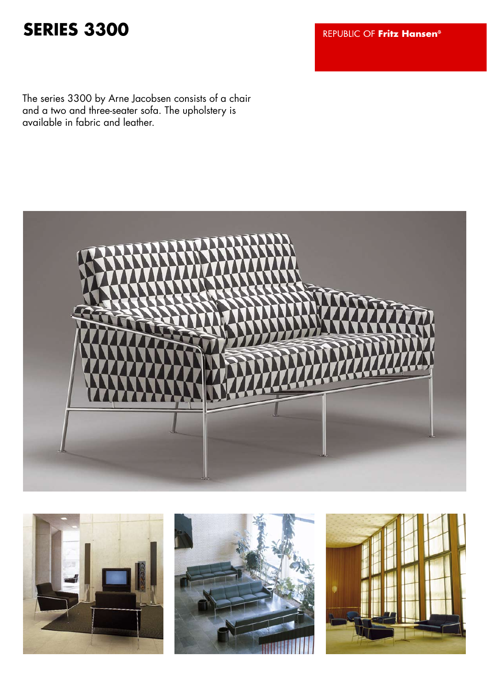## **SERIES 3300**

REPUBLIC OF Fritz Hansen<sup>®</sup>

The series 3300 by Arne Jacobsen consists of a chair and a two and three-seater sofa. The upholstery is available in fabric and leather.